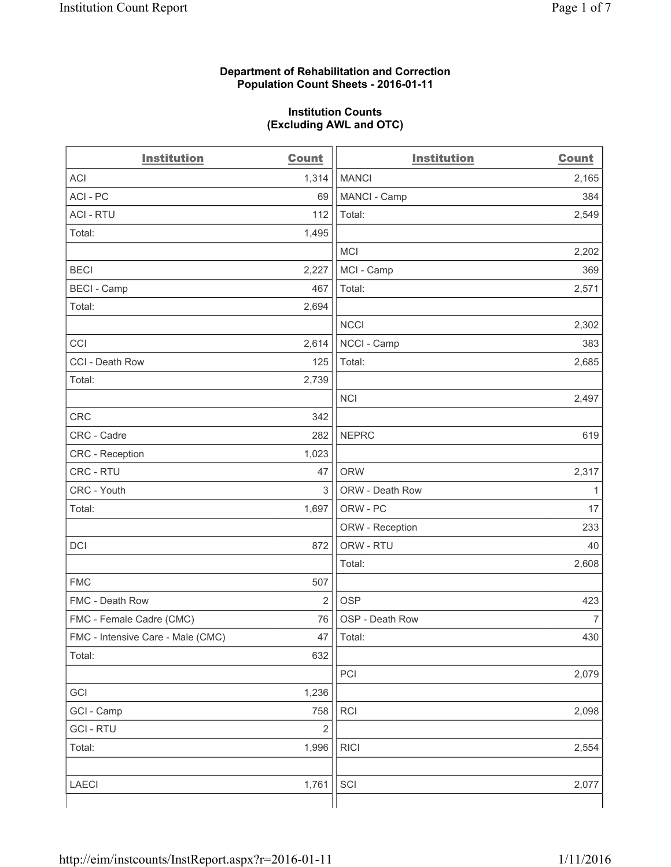## **Department of Rehabilitation and Correction Population Count Sheets - 2016-01-11**

### **Institution Counts (Excluding AWL and OTC)**

| <b>Institution</b>                | <b>Count</b>   | <b>Institution</b> | Count          |
|-----------------------------------|----------------|--------------------|----------------|
| <b>ACI</b>                        | 1,314          | <b>MANCI</b>       | 2,165          |
| ACI-PC                            | 69             | MANCI - Camp       | 384            |
| <b>ACI - RTU</b>                  | 112            | Total:             | 2,549          |
| Total:                            | 1,495          |                    |                |
|                                   |                | <b>MCI</b>         | 2,202          |
| <b>BECI</b>                       | 2,227          | MCI - Camp         | 369            |
| <b>BECI</b> - Camp                | 467            | Total:             | 2,571          |
| Total:                            | 2,694          |                    |                |
|                                   |                | <b>NCCI</b>        | 2,302          |
| CCI                               | 2,614          | NCCI - Camp        | 383            |
| CCI - Death Row                   | 125            | Total:             | 2,685          |
| Total:                            | 2,739          |                    |                |
|                                   |                | <b>NCI</b>         | 2,497          |
| <b>CRC</b>                        | 342            |                    |                |
| CRC - Cadre                       | 282            | <b>NEPRC</b>       | 619            |
| CRC - Reception                   | 1,023          |                    |                |
| CRC - RTU                         | 47             | <b>ORW</b>         | 2,317          |
| CRC - Youth                       | $\mathfrak{S}$ | ORW - Death Row    | $\mathbf{1}$   |
| Total:                            | 1,697          | ORW - PC           | 17             |
|                                   |                | ORW - Reception    | 233            |
| DCI                               | 872            | ORW - RTU          | 40             |
|                                   |                | Total:             | 2,608          |
| <b>FMC</b>                        | 507            |                    |                |
| FMC - Death Row                   | $\overline{2}$ | <b>OSP</b>         | 423            |
| FMC - Female Cadre (CMC)          | 76             | OSP - Death Row    | $\overline{7}$ |
| FMC - Intensive Care - Male (CMC) | 47             | Total:             | 430            |
| Total:                            | 632            |                    |                |
|                                   |                | PCI                | 2,079          |
| GCI                               | 1,236          |                    |                |
| GCI - Camp                        | 758            | <b>RCI</b>         | 2,098          |
| <b>GCI - RTU</b>                  | $\mathbf 2$    |                    |                |
| Total:                            | 1,996          | <b>RICI</b>        | 2,554          |
|                                   |                |                    |                |
| LAECI                             | 1,761          | SCI                | 2,077          |
|                                   |                |                    |                |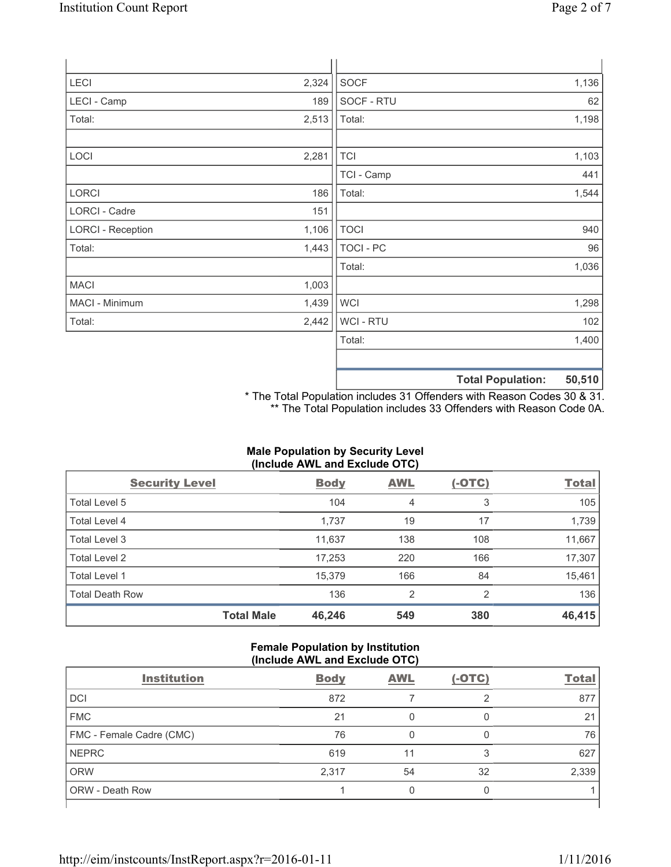| LECI                     | 2,324 | <b>SOCF</b>      |                          | 1,136  |
|--------------------------|-------|------------------|--------------------------|--------|
| LECI - Camp              | 189   | SOCF - RTU       |                          | 62     |
| Total:                   | 2,513 | Total:           |                          | 1,198  |
|                          |       |                  |                          |        |
| LOCI                     | 2,281 | <b>TCI</b>       |                          | 1,103  |
|                          |       | TCI - Camp       |                          | 441    |
| LORCI                    | 186   | Total:           |                          | 1,544  |
| LORCI - Cadre            | 151   |                  |                          |        |
| <b>LORCI - Reception</b> | 1,106 | <b>TOCI</b>      |                          | 940    |
| Total:                   | 1,443 | <b>TOCI - PC</b> |                          | 96     |
|                          |       | Total:           |                          | 1,036  |
| <b>MACI</b>              | 1,003 |                  |                          |        |
| MACI - Minimum           | 1,439 | <b>WCI</b>       |                          | 1,298  |
| Total:                   | 2,442 | <b>WCI - RTU</b> |                          | 102    |
|                          |       | Total:           |                          | 1,400  |
|                          |       |                  |                          |        |
|                          |       |                  | <b>Total Population:</b> | 50,510 |

\* The Total Population includes 31 Offenders with Reason Codes 30 & 31. \*\* The Total Population includes 33 Offenders with Reason Code 0A.

# **Male Population by Security Level (Include AWL and Exclude OTC)**

| <b>Security Level</b>  |                   | <b>Body</b> | <b>AWL</b> | $(-OTC)$ | <b>Total</b> |
|------------------------|-------------------|-------------|------------|----------|--------------|
| Total Level 5          |                   | 104         | 4          | 3        | 105          |
| Total Level 4          |                   | 1,737       | 19         | 17       | 1,739        |
| Total Level 3          |                   | 11,637      | 138        | 108      | 11,667       |
| Total Level 2          |                   | 17,253      | 220        | 166      | 17,307       |
| Total Level 1          |                   | 15,379      | 166        | 84       | 15,461       |
| <b>Total Death Row</b> |                   | 136         | 2          | 2        | 136          |
|                        | <b>Total Male</b> | 46,246      | 549        | 380      | 46,415       |

## **Female Population by Institution (Include AWL and Exclude OTC)**

|                          | $\frac{1}{2}$ |            |          |              |  |  |
|--------------------------|---------------|------------|----------|--------------|--|--|
| <b>Institution</b>       | <b>Body</b>   | <b>AWL</b> | $(-OTC)$ | <b>Total</b> |  |  |
| <b>DCI</b>               | 872           |            |          | 877          |  |  |
| <b>FMC</b>               | 21            |            |          | 21           |  |  |
| FMC - Female Cadre (CMC) | 76            |            |          | 76           |  |  |
| <b>NEPRC</b>             | 619           |            | 3        | 627          |  |  |
| <b>ORW</b>               | 2,317         | 54         | 32       | 2,339        |  |  |
| <b>ORW - Death Row</b>   |               |            |          |              |  |  |
|                          |               |            |          |              |  |  |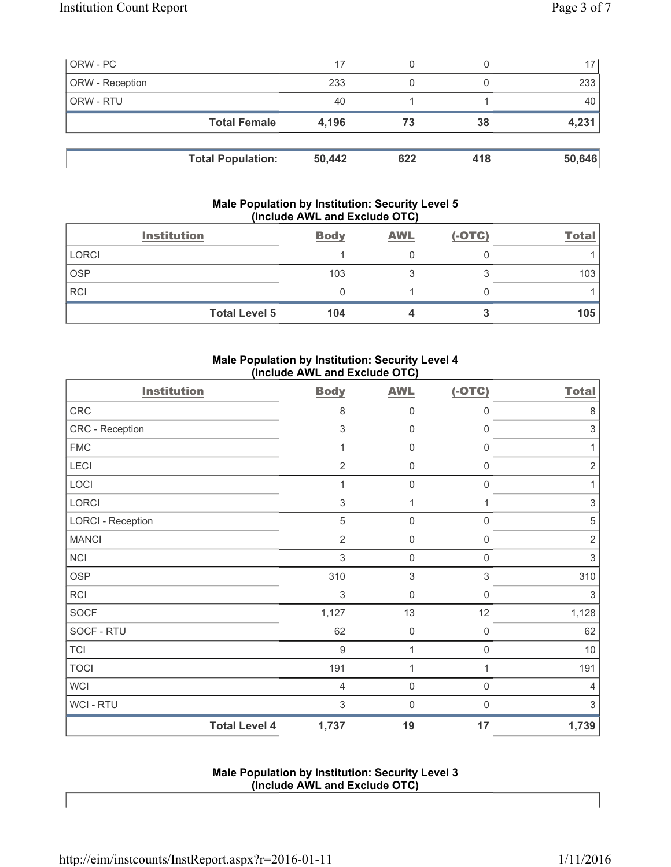| ORW - PC        |                          | 17     |     |     | 17 <sup>1</sup> |
|-----------------|--------------------------|--------|-----|-----|-----------------|
| ORW - Reception |                          | 233    |     |     | 233             |
| ORW - RTU       |                          | 40     |     |     | 40              |
|                 | <b>Total Female</b>      | 4,196  | 73  | 38  | 4,231           |
|                 |                          |        |     |     |                 |
|                 | <b>Total Population:</b> | 50,442 | 622 | 418 | 50,646          |

## **Male Population by Institution: Security Level 5 (Include AWL and Exclude OTC)**

|              | <b>Institution</b>   | <b>Body</b> | <b>AWL</b> | $(-OTC)$ | <b>Total</b> |
|--------------|----------------------|-------------|------------|----------|--------------|
| <b>LORCI</b> |                      |             |            |          |              |
| <b>OSP</b>   |                      | 103         |            |          | 103          |
| <b>RCI</b>   |                      |             |            |          |              |
|              | <b>Total Level 5</b> | 104         |            |          | 105          |

# **Male Population by Institution: Security Level 4 (Include AWL and Exclude OTC)**

| <b>Institution</b>       |                      | <b>Body</b>    | <b>AWL</b>          | $(-OTC)$            | <b>Total</b>              |
|--------------------------|----------------------|----------------|---------------------|---------------------|---------------------------|
| CRC                      |                      | 8              | $\mathbf 0$         | $\mathsf{0}$        | 8                         |
| CRC - Reception          |                      | 3              | $\mathsf{0}$        | $\mathbf 0$         | $\sqrt{3}$                |
| <b>FMC</b>               |                      | 1              | $\mathsf{O}\xspace$ | $\mathsf{O}\xspace$ | 1                         |
| LECI                     |                      | $\overline{2}$ | $\mathsf{O}\xspace$ | $\mathsf{O}\xspace$ | $\overline{2}$            |
| LOCI                     |                      | 1              | $\mathsf{O}\xspace$ | $\mathsf{O}\xspace$ | 1                         |
| LORCI                    |                      | 3              | 1                   | 1                   | $\ensuremath{\mathsf{3}}$ |
| <b>LORCI - Reception</b> |                      | 5              | $\mathsf{0}$        | 0                   | $\,$ 5 $\,$               |
| <b>MANCI</b>             |                      | 2              | $\mathsf{0}$        | 0                   | $\sqrt{2}$                |
| <b>NCI</b>               |                      | 3              | $\mathsf 0$         | $\mathbf 0$         | 3                         |
| <b>OSP</b>               |                      | 310            | $\sqrt{3}$          | $\,$ 3 $\,$         | 310                       |
| <b>RCI</b>               |                      | 3              | $\mathsf{O}\xspace$ | $\mathsf 0$         | 3                         |
| <b>SOCF</b>              |                      | 1,127          | 13                  | 12                  | 1,128                     |
| SOCF - RTU               |                      | 62             | $\mathsf{0}$        | $\mathbf 0$         | 62                        |
| <b>TCI</b>               |                      | $9\,$          | 1                   | 0                   | $10$                      |
| <b>TOCI</b>              |                      | 191            | 1                   | 1                   | 191                       |
| <b>WCI</b>               |                      | $\overline{4}$ | $\mathsf{O}\xspace$ | $\mathsf{O}\xspace$ | $\overline{4}$            |
| <b>WCI-RTU</b>           |                      | 3              | $\mathsf{O}\xspace$ | $\mathbf 0$         | 3                         |
|                          | <b>Total Level 4</b> | 1,737          | 19                  | 17                  | 1,739                     |

## **Male Population by Institution: Security Level 3 (Include AWL and Exclude OTC)**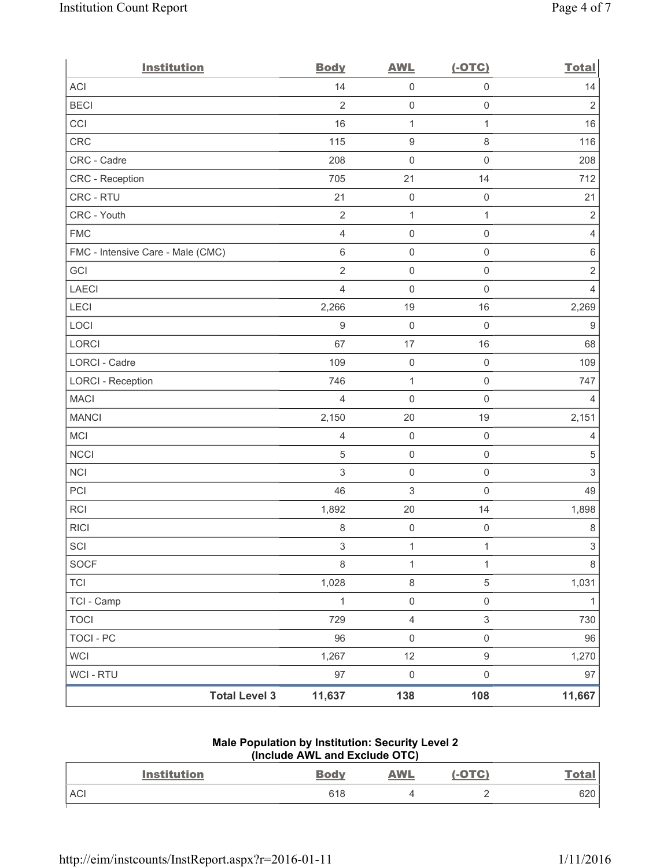| <b>Institution</b>                | <b>Body</b>    | <b>AWL</b>              | $(-OTC)$            | <b>Total</b>     |
|-----------------------------------|----------------|-------------------------|---------------------|------------------|
| ACI                               | 14             | 0                       | $\mathsf 0$         | 14               |
| <b>BECI</b>                       | $\overline{2}$ | $\mathsf{O}\xspace$     | $\mathsf{O}\xspace$ | $\overline{2}$   |
| CCI                               | 16             | $\mathbf{1}$            | $\mathbf{1}$        | 16               |
| CRC                               | 115            | $\boldsymbol{9}$        | $\,8\,$             | 116              |
| CRC - Cadre                       | 208            | $\mathsf{O}\xspace$     | $\mathsf 0$         | 208              |
| CRC - Reception                   | 705            | 21                      | 14                  | 712              |
| CRC - RTU                         | 21             | $\mathsf{O}\xspace$     | $\mathbf 0$         | 21               |
| CRC - Youth                       | $\sqrt{2}$     | $\mathbf{1}$            | $\mathbf{1}$        | $\overline{2}$   |
| <b>FMC</b>                        | $\overline{4}$ | $\mathsf{O}\xspace$     | $\mathbf 0$         | $\overline{4}$   |
| FMC - Intensive Care - Male (CMC) | $\,6\,$        | $\mathsf{O}\xspace$     | $\mathsf 0$         | 6                |
| GCI                               | $\sqrt{2}$     | $\mathsf{O}\xspace$     | $\mathsf 0$         | $\overline{2}$   |
| <b>LAECI</b>                      | $\overline{4}$ | $\mathsf{O}\xspace$     | $\mathbf 0$         | 4                |
| LECI                              | 2,266          | 19                      | 16                  | 2,269            |
| LOCI                              | $\hbox{9}$     | $\mathsf{O}\xspace$     | $\mathbf 0$         | $\boldsymbol{9}$ |
| LORCI                             | 67             | $17$                    | 16                  | 68               |
| LORCI - Cadre                     | 109            | $\mathsf{O}\xspace$     | $\mathsf 0$         | 109              |
| <b>LORCI - Reception</b>          | 746            | $\mathbf 1$             | $\mathsf 0$         | 747              |
| <b>MACI</b>                       | $\overline{4}$ | $\mathsf{O}\xspace$     | $\mathsf 0$         | $\overline{4}$   |
| <b>MANCI</b>                      | 2,150          | 20                      | 19                  | 2,151            |
| <b>MCI</b>                        | 4              | $\mathsf{O}\xspace$     | $\mathsf 0$         | $\overline{4}$   |
| <b>NCCI</b>                       | $\sqrt{5}$     | $\mathsf{O}\xspace$     | $\mathsf 0$         | $\sqrt{5}$       |
| NCI                               | $\sqrt{3}$     | $\mathsf{O}\xspace$     | $\mathsf 0$         | $\sqrt{3}$       |
| PCI                               | 46             | 3                       | $\mathsf 0$         | 49               |
| RCI                               | 1,892          | 20                      | 14                  | 1,898            |
| <b>RICI</b>                       | $\,8\,$        | $\mathsf{O}\xspace$     | $\mathsf{O}\xspace$ | $\,8\,$          |
| SCI                               | $\,$ 3 $\,$    | $\mathbf{1}$            | $\mathbf{1}$        | $\mathfrak{S}$   |
| <b>SOCF</b>                       | $\,8\,$        | $\mathbf{1}$            | $\mathbf{1}$        | 8                |
| <b>TCI</b>                        | 1,028          | $\,8\,$                 | $\,$ 5 $\,$         | 1,031            |
| TCI - Camp                        | $\mathbf{1}$   | $\mathsf{O}\xspace$     | $\mathsf{O}\xspace$ | $\mathbf{1}$     |
| <b>TOCI</b>                       | 729            | $\overline{\mathbf{4}}$ | $\mathsf 3$         | 730              |
| <b>TOCI - PC</b>                  | 96             | $\mathsf{O}\xspace$     | $\mathsf{O}\xspace$ | 96               |
| <b>WCI</b>                        | 1,267          | 12                      | $\boldsymbol{9}$    | 1,270            |
| WCI - RTU                         | 97             | $\mathsf 0$             | $\mathsf{O}\xspace$ | 97               |
| <b>Total Level 3</b>              | 11,637         | 138                     | 108                 | 11,667           |

## **Male Population by Institution: Security Level 2 (Include AWL and Exclude OTC)**

| <b>Institution</b> | <b>Body</b> | <b>AWL</b> | $(-OTC)$ | <u>Total</u> |
|--------------------|-------------|------------|----------|--------------|
| ACI                | 618         |            |          | 620          |
|                    |             |            |          |              |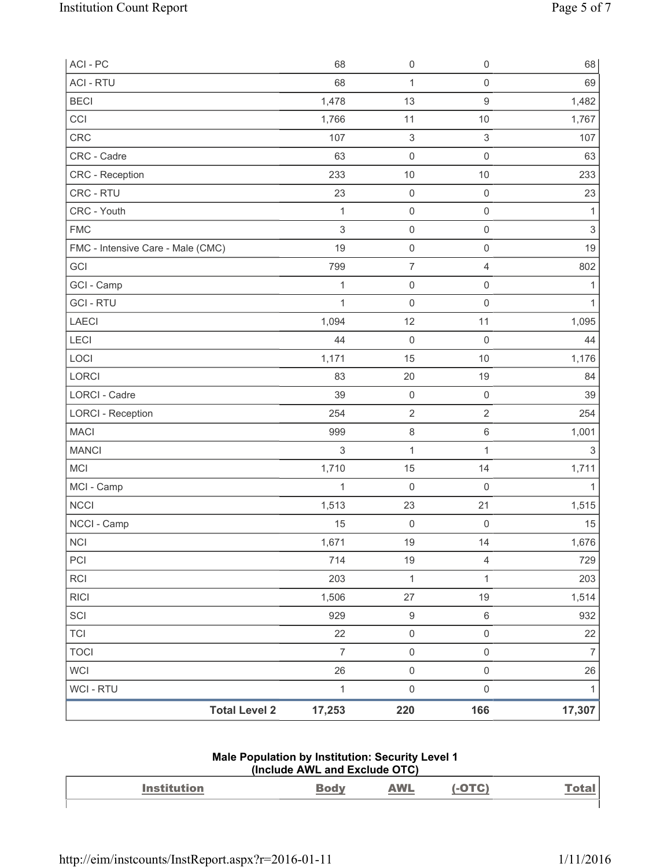| ACI - PC                          | 68             | $\mathsf{O}\xspace$ | $\mathsf{O}\xspace$ | 68                        |
|-----------------------------------|----------------|---------------------|---------------------|---------------------------|
| <b>ACI - RTU</b>                  | 68             | $\mathbf{1}$        | $\mathsf{O}\xspace$ | 69                        |
| <b>BECI</b>                       | 1,478          | 13                  | 9                   | 1,482                     |
| CCI                               | 1,766          | 11                  | 10                  | 1,767                     |
| <b>CRC</b>                        | 107            | $\sqrt{3}$          | 3                   | 107                       |
| CRC - Cadre                       | 63             | $\mathsf{O}\xspace$ | $\mathsf{O}\xspace$ | 63                        |
| CRC - Reception                   | 233            | $10$                | 10                  | 233                       |
| CRC - RTU                         | 23             | $\mathsf{O}\xspace$ | $\mathsf{O}\xspace$ | 23                        |
| CRC - Youth                       | $\mathbf{1}$   | $\mathsf{O}\xspace$ | $\mathsf{O}\xspace$ | $\mathbf{1}$              |
| <b>FMC</b>                        | $\sqrt{3}$     | $\mathsf{O}\xspace$ | $\mathsf{O}\xspace$ | $\sqrt{3}$                |
| FMC - Intensive Care - Male (CMC) | 19             | $\mathsf{O}\xspace$ | $\mathsf{O}\xspace$ | 19                        |
| GCI                               | 799            | $\boldsymbol{7}$    | $\overline{4}$      | 802                       |
| GCI - Camp                        | $\mathbf{1}$   | $\mathsf{O}\xspace$ | $\mathsf{O}\xspace$ | $\mathbf 1$               |
| <b>GCI-RTU</b>                    | $\mathbf{1}$   | $\mathbf 0$         | $\mathsf{O}\xspace$ | $\mathbf{1}$              |
| LAECI                             | 1,094          | 12                  | 11                  | 1,095                     |
| <b>LECI</b>                       | 44             | $\mathsf{O}\xspace$ | $\mathsf 0$         | 44                        |
| LOCI                              | 1,171          | 15                  | 10                  | 1,176                     |
| LORCI                             | 83             | 20                  | 19                  | 84                        |
| LORCI - Cadre                     | 39             | $\mathsf{O}\xspace$ | $\mathsf{O}\xspace$ | 39                        |
| <b>LORCI - Reception</b>          | 254            | $\sqrt{2}$          | $\overline{2}$      | 254                       |
| <b>MACI</b>                       | 999            | $\,8\,$             | $\,6\,$             | 1,001                     |
| <b>MANCI</b>                      | $\sqrt{3}$     | $\mathbf{1}$        | 1                   | $\ensuremath{\mathsf{3}}$ |
| <b>MCI</b>                        | 1,710          | 15                  | 14                  | 1,711                     |
| MCI - Camp                        | $\mathbf{1}$   | $\mathsf{O}\xspace$ | $\mathsf 0$         | 1                         |
| <b>NCCI</b>                       | 1,513          | 23                  | 21                  | 1,515                     |
| NCCI - Camp                       | 15             | $\mathsf{O}\xspace$ | $\mathsf{O}\xspace$ | 15                        |
| NCI                               | 1,671          | 19                  | 14                  | 1,676                     |
| PCI                               | 714            | 19                  | 4                   | 729                       |
| <b>RCI</b>                        | 203            | $\mathbf{1}$        | 1                   | 203                       |
| <b>RICI</b>                       | 1,506          | 27                  | 19                  | 1,514                     |
| SCI                               | 929            | $\boldsymbol{9}$    | $\,6\,$             | 932                       |
| <b>TCI</b>                        | 22             | $\mathsf{O}\xspace$ | 0                   | 22                        |
| <b>TOCI</b>                       | $\overline{7}$ | $\mathsf 0$         | $\mathsf{O}\xspace$ | $\boldsymbol{7}$          |
| WCI                               | 26             | $\mathsf{O}\xspace$ | $\mathsf{O}\xspace$ | 26                        |
| <b>WCI - RTU</b>                  | $\mathbf{1}$   | $\mathsf{O}\xspace$ | $\mathsf{O}\xspace$ | 1                         |
| <b>Total Level 2</b>              | 17,253         | 220                 | 166                 | 17,307                    |

### **Male Population by Institution: Security Level 1 (Include AWL and Exclude OTC)**

| $\mathbf{A}$ and $\mathbf{A}$<br>--------- | <b><i>MAI</i></b><br><b>Contract Contract Contract Contract</b> |  |
|--------------------------------------------|-----------------------------------------------------------------|--|
|                                            |                                                                 |  |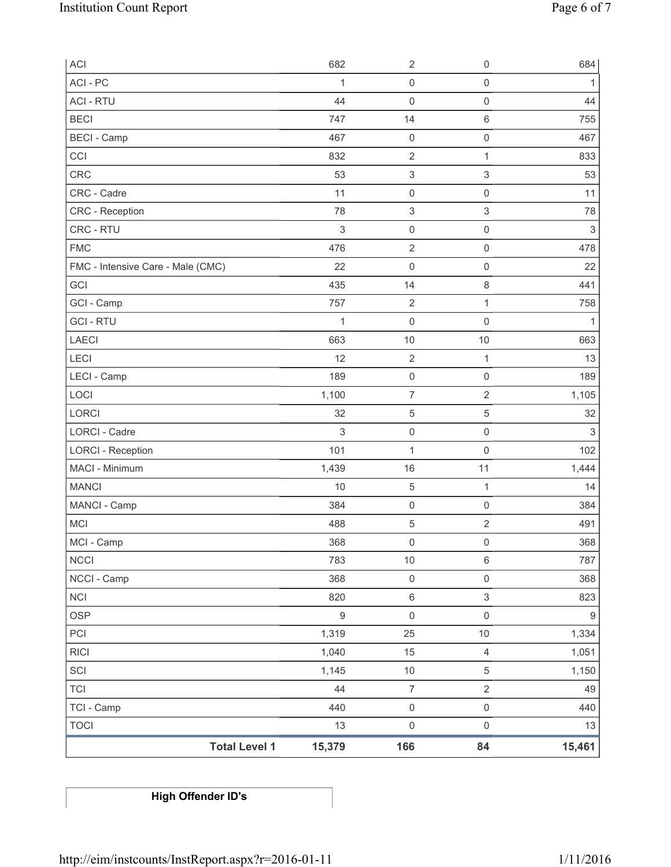| <b>ACI</b>                        | 682              | $\sqrt{2}$                | $\mathbf 0$               | 684              |
|-----------------------------------|------------------|---------------------------|---------------------------|------------------|
| ACI - PC                          | 1                | $\mathsf 0$               | $\mathsf 0$               | 1                |
| <b>ACI - RTU</b>                  | 44               | 0                         | $\mathsf 0$               | 44               |
| <b>BECI</b>                       | 747              | 14                        | $\,6\,$                   | 755              |
| <b>BECI</b> - Camp                | 467              | $\mathsf 0$               | $\mathsf{O}\xspace$       | 467              |
| CCI                               | 832              | $\mathbf 2$               | 1                         | 833              |
| <b>CRC</b>                        | 53               | $\ensuremath{\mathsf{3}}$ | $\ensuremath{\mathsf{3}}$ | 53               |
| CRC - Cadre                       | 11               | $\mathsf{O}\xspace$       | $\mathsf 0$               | 11               |
| CRC - Reception                   | 78               | $\ensuremath{\mathsf{3}}$ | $\ensuremath{\mathsf{3}}$ | 78               |
| CRC - RTU                         | $\,$ 3 $\,$      | $\mathsf{O}\xspace$       | $\mathsf 0$               | $\sqrt{3}$       |
| <b>FMC</b>                        | 476              | $\sqrt{2}$                | $\mathsf 0$               | 478              |
| FMC - Intensive Care - Male (CMC) | 22               | $\mathsf{O}\xspace$       | $\mathsf{O}\xspace$       | 22               |
| GCI                               | 435              | 14                        | $\,8\,$                   | 441              |
| GCI - Camp                        | 757              | $\sqrt{2}$                | 1                         | 758              |
| <b>GCI-RTU</b>                    | $\mathbf{1}$     | 0                         | $\mathsf 0$               | 1                |
| <b>LAECI</b>                      | 663              | 10                        | 10                        | 663              |
| LECI                              | 12               | $\mathbf 2$               | 1                         | 13               |
| LECI - Camp                       | 189              | $\mathsf{O}\xspace$       | $\mathbf 0$               | 189              |
| LOCI                              | 1,100            | $\overline{7}$            | $\sqrt{2}$                | 1,105            |
| <b>LORCI</b>                      | 32               | 5                         | 5                         | 32               |
| <b>LORCI - Cadre</b>              | $\,$ 3 $\,$      | $\mathsf{O}\xspace$       | $\mathsf 0$               | $\sqrt{3}$       |
| <b>LORCI - Reception</b>          | 101              | $\mathbf 1$               | $\mathsf 0$               | 102              |
| MACI - Minimum                    | 1,439            | 16                        | 11                        | 1,444            |
| <b>MANCI</b>                      | 10               | $\,$ 5 $\,$               | $\mathbf{1}$              | 14               |
| MANCI - Camp                      | 384              | $\mathsf 0$               | $\mathsf{O}\xspace$       | 384              |
| <b>MCI</b>                        | 488              | 5                         | $\sqrt{2}$                | 491              |
| MCI - Camp                        | 368              | $\mathsf{O}\xspace$       | $\mathsf{O}\xspace$       | 368              |
| <b>NCCI</b>                       | 783              | $10$                      | $\,6\,$                   | 787              |
| NCCI - Camp                       | 368              | $\mathsf{O}\xspace$       | $\mathsf{O}\xspace$       | 368              |
| <b>NCI</b>                        | 820              | 6                         | 3                         | 823              |
| <b>OSP</b>                        | $\boldsymbol{9}$ | $\mathsf{O}\xspace$       | $\mathsf 0$               | $\boldsymbol{9}$ |
| PCI                               | 1,319            | 25                        | 10                        | 1,334            |
| <b>RICI</b>                       | 1,040            | 15                        | $\overline{4}$            | 1,051            |
| SCI                               | 1,145            | $10$                      | $\,$ 5 $\,$               | 1,150            |
| <b>TCI</b>                        | 44               | $\overline{\mathcal{I}}$  | $\sqrt{2}$                | 49               |
| TCI - Camp                        | 440              | $\mathsf{O}\xspace$       | $\mathsf{O}\xspace$       | 440              |
| <b>TOCI</b>                       | 13               | $\mathsf{O}\xspace$       | $\mathsf 0$               | 13               |
| <b>Total Level 1</b>              | 15,379           | 166                       | 84                        | 15,461           |

**High Offender ID's**